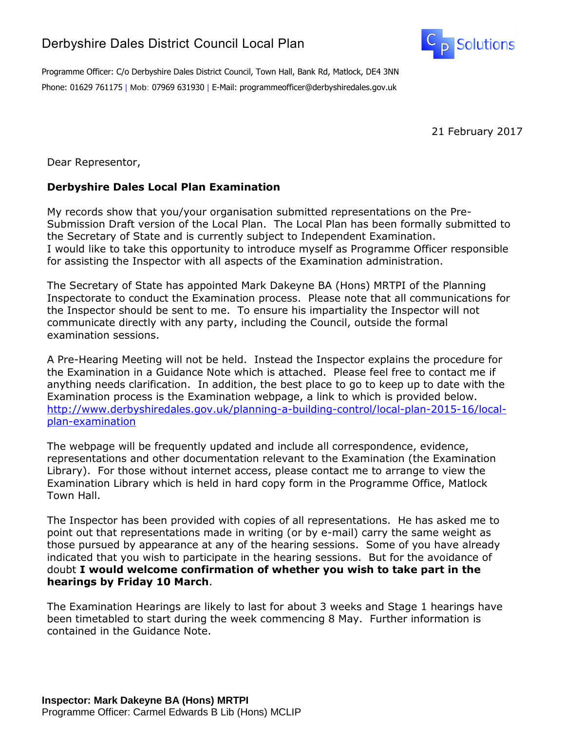## Derbyshire Dales District Council Local Plan



Programme Officer: C/o Derbyshire Dales District Council, Town Hall, Bank Rd, Matlock, DE4 3NN Phone: 01629 761175 | Mob: 07969 631930 | E-Mail: programmeofficer@derbyshiredales.gov.uk

21 February 2017

Dear Representor,

## **Derbyshire Dales Local Plan Examination**

My records show that you/your organisation submitted representations on the Pre-Submission Draft version of the Local Plan. The Local Plan has been formally submitted to the Secretary of State and is currently subject to Independent Examination. I would like to take this opportunity to introduce myself as Programme Officer responsible for assisting the Inspector with all aspects of the Examination administration.

The Secretary of State has appointed Mark Dakeyne BA (Hons) MRTPI of the Planning Inspectorate to conduct the Examination process. Please note that all communications for the Inspector should be sent to me. To ensure his impartiality the Inspector will not communicate directly with any party, including the Council, outside the formal examination sessions.

A Pre-Hearing Meeting will not be held. Instead the Inspector explains the procedure for the Examination in a Guidance Note which is attached. Please feel free to contact me if anything needs clarification. In addition, the best place to go to keep up to date with the Examination process is the Examination webpage, a link to which is provided below. [http://www.derbyshiredales.gov.uk/planning-a-building-control/local-plan-2015-16/local](http://www.derbyshiredales.gov.uk/planning-a-building-control/local-plan-2015-16/local-plan-examination)[plan-examination](http://www.derbyshiredales.gov.uk/planning-a-building-control/local-plan-2015-16/local-plan-examination)

The webpage will be frequently updated and include all correspondence, evidence, representations and other documentation relevant to the Examination (the Examination Library). For those without internet access, please contact me to arrange to view the Examination Library which is held in hard copy form in the Programme Office, Matlock Town Hall.

The Inspector has been provided with copies of all representations. He has asked me to point out that representations made in writing (or by e-mail) carry the same weight as those pursued by appearance at any of the hearing sessions. Some of you have already indicated that you wish to participate in the hearing sessions. But for the avoidance of doubt **I would welcome confirmation of whether you wish to take part in the hearings by Friday 10 March**.

The Examination Hearings are likely to last for about 3 weeks and Stage 1 hearings have been timetabled to start during the week commencing 8 May. Further information is contained in the Guidance Note.